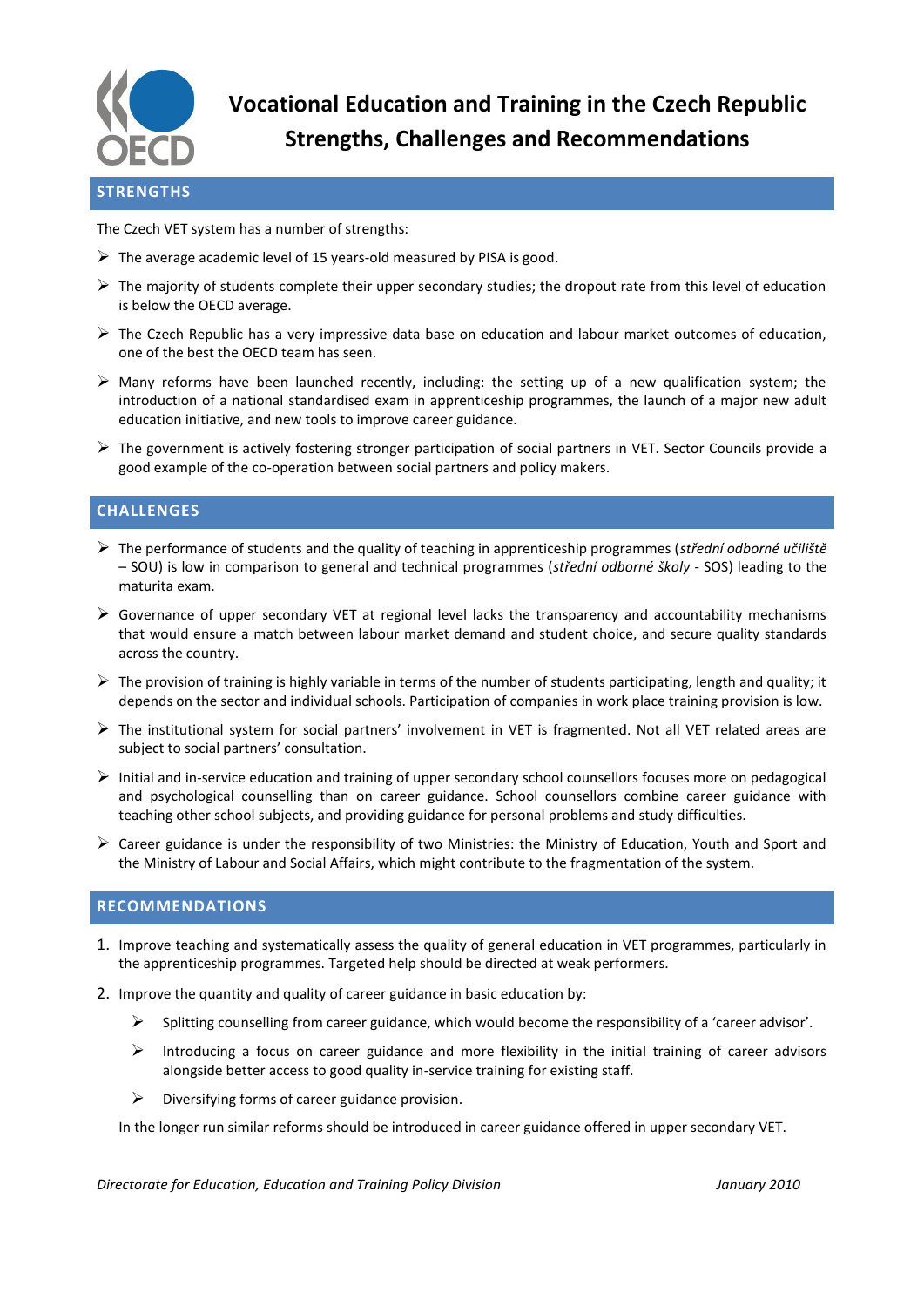

**Vocational Education and Training in the Czech Republic Strengths, Challenges and Recommendations**

## **STRENGTHS**

The Czech VET system has a number of strengths:

- $\triangleright$  The average academic level of 15 years-old measured by PISA is good.
- $\triangleright$  The majority of students complete their upper secondary studies; the dropout rate from this level of education is below the OECD average.
- $\triangleright$  The Czech Republic has a very impressive data base on education and labour market outcomes of education, one of the best the OECD team has seen.
- $\triangleright$  Many reforms have been launched recently, including: the setting up of a new qualification system; the introduction of a national standardised exam in apprenticeship programmes, the launch of a major new adult education initiative, and new tools to improve career guidance.
- The government is actively fostering stronger participation of social partners in VET. Sector Councils provide a good example of the co-operation between social partners and policy makers.

## **CHALLENGES**

- The performance of students and the quality of teaching in apprenticeship programmes (*střední odborné učiliště* – SOU) is low in comparison to general and technical programmes (*střední odborné školy* - SOS) leading to the maturita exam.
- $\triangleright$  Governance of upper secondary VET at regional level lacks the transparency and accountability mechanisms that would ensure a match between labour market demand and student choice, and secure quality standards across the country.
- $\triangleright$  The provision of training is highly variable in terms of the number of students participating, length and quality; it depends on the sector and individual schools. Participation of companies in work place training provision is low.
- $\triangleright$  The institutional system for social partners' involvement in VET is fragmented. Not all VET related areas are subject to social partners' consultation.
- $\triangleright$  Initial and in-service education and training of upper secondary school counsellors focuses more on pedagogical and psychological counselling than on career guidance. School counsellors combine career guidance with teaching other school subjects, and providing guidance for personal problems and study difficulties.
- $\triangleright$  Career guidance is under the responsibility of two Ministries: the Ministry of Education, Youth and Sport and the Ministry of Labour and Social Affairs, which might contribute to the fragmentation of the system.

## **RECOMMENDATIONS**

- 1. Improve teaching and systematically assess the quality of general education in VET programmes, particularly in the apprenticeship programmes. Targeted help should be directed at weak performers.
- 2. Improve the quantity and quality of career guidance in basic education by:
	- $\triangleright$  Splitting counselling from career guidance, which would become the responsibility of a 'career advisor'.
	- $\triangleright$  Introducing a focus on career guidance and more flexibility in the initial training of career advisors alongside better access to good quality in-service training for existing staff.
	- $\triangleright$  Diversifying forms of career guidance provision.

In the longer run similar reforms should be introduced in career guidance offered in upper secondary VET.

*Directorate for Education, Education and Training Policy Division January 2010*